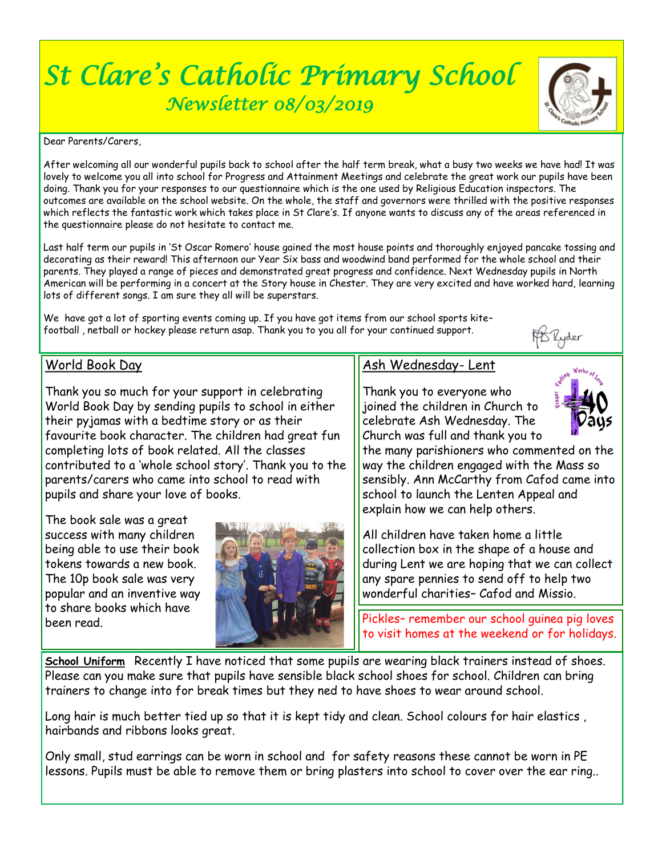# *St Clare's Catholic Primary School Newsletter 08/03/2019*

Dear Parents/Carers,

After welcoming all our wonderful pupils back to school after the half term break, what a busy two weeks we have had! It was lovely to welcome you all into school for Progress and Attainment Meetings and celebrate the great work our pupils have been doing. Thank you for your responses to our questionnaire which is the one used by Religious Education inspectors. The outcomes are available on the school website. On the whole, the staff and governors were thrilled with the positive responses which reflects the fantastic work which takes place in St Clare's. If anyone wants to discuss any of the areas referenced in the questionnaire please do not hesitate to contact me.

Last half term our pupils in 'St Oscar Romero' house gained the most house points and thoroughly enjoyed pancake tossing and decorating as their reward! This afternoon our Year Six bass and woodwind band performed for the whole school and their parents. They played a range of pieces and demonstrated great progress and confidence. Next Wednesday pupils in North American will be performing in a concert at the Story house in Chester. They are very excited and have worked hard, learning lots of different songs. I am sure they all will be superstars.

We have got a lot of sporting events coming up. If you have got items from our school sports kite– football , netball or hockey please return asap. Thank you to you all for your continued support.

## World Book Day

Thank you so much for your support in celebrating World Book Day by sending pupils to school in either their pyjamas with a bedtime story or as their favourite book character. The children had great fun completing lots of book related. All the classes contributed to a 'whole school story'. Thank you to the parents/carers who came into school to read with pupils and share your love of books.

The book sale was a great success with many children being able to use their book tokens towards a new book. The 10p book sale was very popular and an inventive way to share books which have been read.



# Ash Wednesday- Lent

Thank you to everyone who joined the children in Church to celebrate Ash Wednesday. The Church was full and thank you to



the many parishioners who commented on the way the children engaged with the Mass so sensibly. Ann McCarthy from Cafod came into school to launch the Lenten Appeal and explain how we can help others.

All children have taken home a little collection box in the shape of a house and during Lent we are hoping that we can collect any spare pennies to send off to help two wonderful charities– Cafod and Missio.

Pickles– remember our school guinea pig loves to visit homes at the weekend or for holidays.

**School Uniform** Recently I have noticed that some pupils are wearing black trainers instead of shoes. Please can you make sure that pupils have sensible black school shoes for school. Children can bring trainers to change into for break times but they ned to have shoes to wear around school.

Long hair is much better tied up so that it is kept tidy and clean. School colours for hair elastics , hairbands and ribbons looks great.

Only small, stud earrings can be worn in school and for safety reasons these cannot be worn in PE lessons. Pupils must be able to remove them or bring plasters into school to cover over the ear ring..